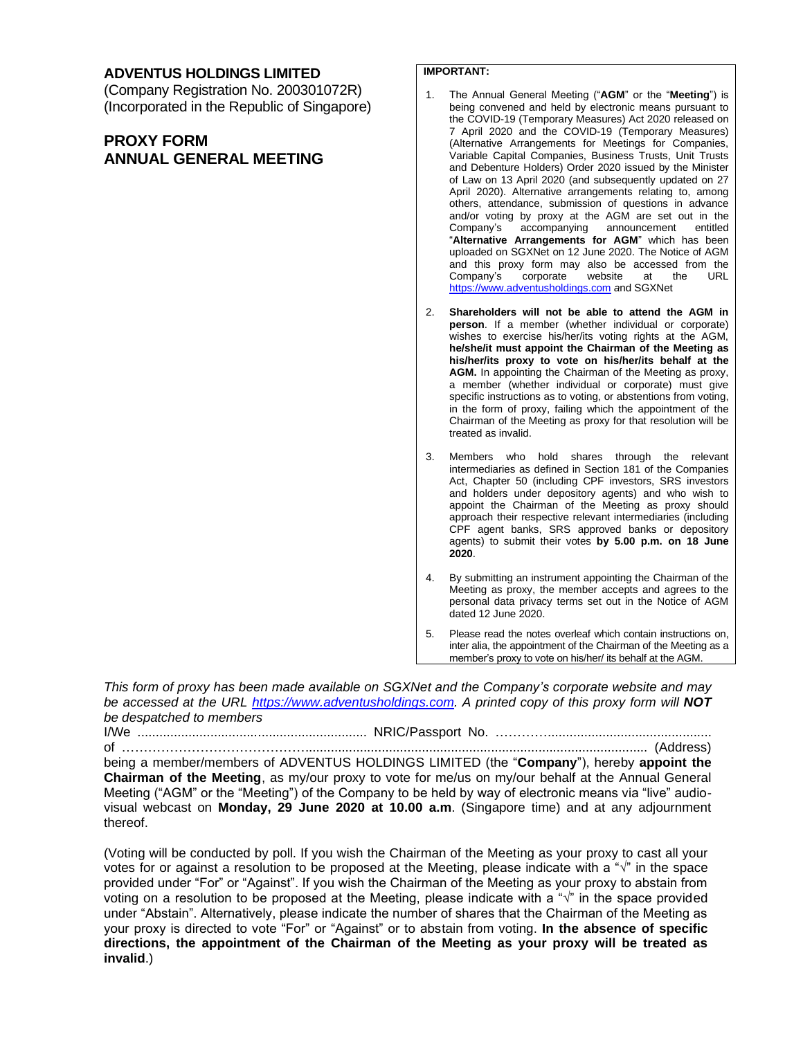### **ADVENTUS HOLDINGS LIMITED**

(Company Registration No. 200301072R) (Incorporated in the Republic of Singapore)

## **PROXY FORM ANNUAL GENERAL MEETING**

### **IMPORTANT:**

- 1. The Annual General Meeting ("**AGM**" or the "**Meeting**") is being convened and held by electronic means pursuant to the COVID-19 (Temporary Measures) Act 2020 released on 7 April 2020 and the COVID-19 (Temporary Measures) (Alternative Arrangements for Meetings for Companies, Variable Capital Companies, Business Trusts, Unit Trusts and Debenture Holders) Order 2020 issued by the Minister of Law on 13 April 2020 (and subsequently updated on 27 April 2020). Alternative arrangements relating to, among others, attendance, submission of questions in advance and/or voting by proxy at the AGM are set out in the Company's accompanying announcement entitled "**Alternative Arrangements for AGM**" which has been uploaded on SGXNet on 12 June 2020. The Notice of AGM and this proxy form may also be accessed from the Company's corporate website at the URL [https://www.adventusholdings.com](https://www.adventusholdings.com/) *a*nd SGXNet
- 2. **Shareholders will not be able to attend the AGM in person**. If a member (whether individual or corporate) wishes to exercise his/her/its voting rights at the AGM, **he/she/it must appoint the Chairman of the Meeting as his/her/its proxy to vote on his/her/its behalf at the AGM.** In appointing the Chairman of the Meeting as proxy, a member (whether individual or corporate) must give specific instructions as to voting, or abstentions from voting, in the form of proxy, failing which the appointment of the Chairman of the Meeting as proxy for that resolution will be treated as invalid.
- 3. Members who hold shares through the relevant intermediaries as defined in Section 181 of the Companies Act, Chapter 50 (including CPF investors, SRS investors and holders under depository agents) and who wish to appoint the Chairman of the Meeting as proxy should approach their respective relevant intermediaries (including CPF agent banks, SRS approved banks or depository agents) to submit their votes **by 5.00 p.m. on 18 June 2020**.
- 4. By submitting an instrument appointing the Chairman of the Meeting as proxy, the member accepts and agrees to the personal data privacy terms set out in the Notice of AGM dated 12 June 2020.
- 5. Please read the notes overleaf which contain instructions on, inter alia, the appointment of the Chairman of the Meeting as a member's proxy to vote on his/her/ its behalf at the AGM.

*This form of proxy has been made available on SGXNet and the Company's corporate website and may be accessed at the URL [https://www.adventusholdings.com.](https://www.adventusholdings.com/) A printed copy of this proxy form will NOT be despatched to members*

I/We ............................................................... NRIC/Passport No. ………….............................................

of …………………………………….............................................................................................. (Address) being a member/members of ADVENTUS HOLDINGS LIMITED (the "**Company**"), hereby **appoint the** 

**Chairman of the Meeting**, as my/our proxy to vote for me/us on my/our behalf at the Annual General Meeting ("AGM" or the "Meeting") of the Company to be held by way of electronic means via "live" audiovisual webcast on **Monday, 29 June 2020 at 10.00 a.m**. (Singapore time) and at any adjournment thereof.

(Voting will be conducted by poll. If you wish the Chairman of the Meeting as your proxy to cast all your votes for or against a resolution to be proposed at the Meeting, please indicate with a "√" in the space provided under "For" or "Against". If you wish the Chairman of the Meeting as your proxy to abstain from voting on a resolution to be proposed at the Meeting, please indicate with a "√" in the space provided under "Abstain". Alternatively, please indicate the number of shares that the Chairman of the Meeting as your proxy is directed to vote "For" or "Against" or to abstain from voting. **In the absence of specific directions, the appointment of the Chairman of the Meeting as your proxy will be treated as invalid**.)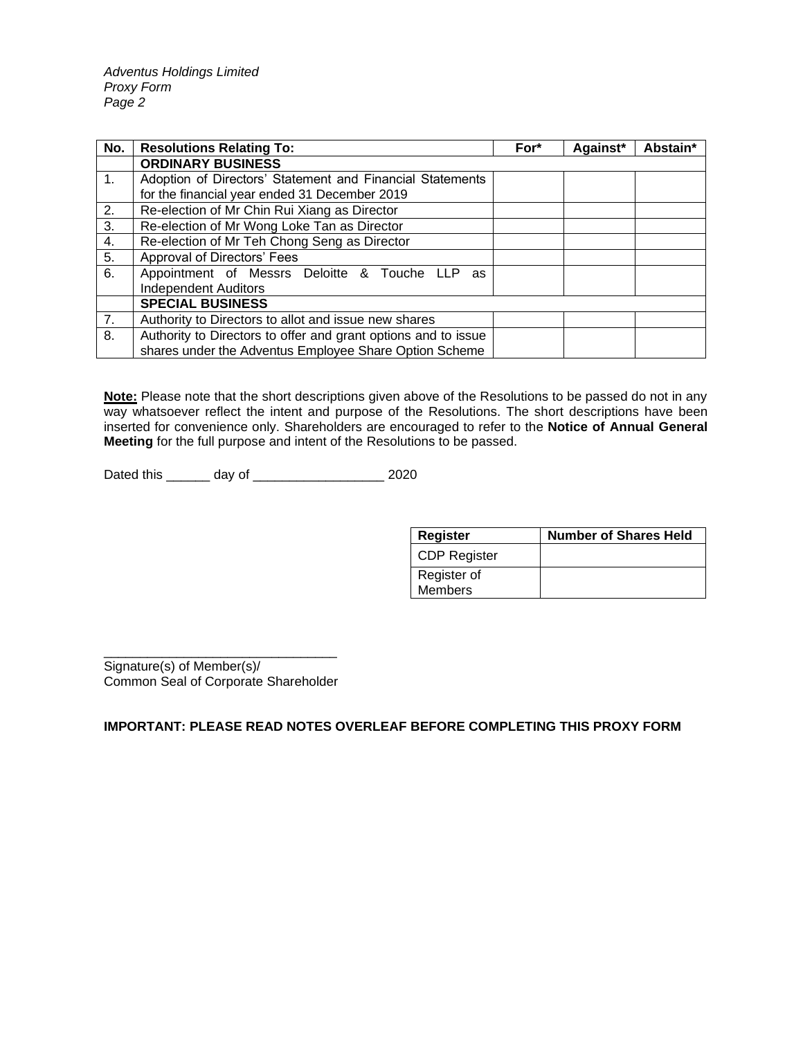*Adventus Holdings Limited Proxy Form Page 2*

| No. | <b>Resolutions Relating To:</b>                                | For* | Against* | Abstain* |
|-----|----------------------------------------------------------------|------|----------|----------|
|     | <b>ORDINARY BUSINESS</b>                                       |      |          |          |
| 1.  | Adoption of Directors' Statement and Financial Statements      |      |          |          |
|     | for the financial year ended 31 December 2019                  |      |          |          |
| 2.  | Re-election of Mr Chin Rui Xiang as Director                   |      |          |          |
| 3.  | Re-election of Mr Wong Loke Tan as Director                    |      |          |          |
| 4.  | Re-election of Mr Teh Chong Seng as Director                   |      |          |          |
| 5.  | Approval of Directors' Fees                                    |      |          |          |
| 6.  | Appointment of Messrs Deloitte & Touche LLP<br>as              |      |          |          |
|     | <b>Independent Auditors</b>                                    |      |          |          |
|     | <b>SPECIAL BUSINESS</b>                                        |      |          |          |
| 7.  | Authority to Directors to allot and issue new shares           |      |          |          |
| 8.  | Authority to Directors to offer and grant options and to issue |      |          |          |
|     | shares under the Adventus Employee Share Option Scheme         |      |          |          |

**Note:** Please note that the short descriptions given above of the Resolutions to be passed do not in any way whatsoever reflect the intent and purpose of the Resolutions. The short descriptions have been inserted for convenience only. Shareholders are encouraged to refer to the **Notice of Annual General Meeting** for the full purpose and intent of the Resolutions to be passed.

Dated this \_\_\_\_\_\_ day of \_\_\_\_\_\_\_\_\_\_\_\_\_\_\_\_\_\_ 2020

| <b>Register</b>     | <b>Number of Shares Held</b> |
|---------------------|------------------------------|
| <b>CDP Register</b> |                              |
| Register of         |                              |
| <b>Members</b>      |                              |

\_\_\_\_\_\_\_\_\_\_\_\_\_\_\_\_\_\_\_\_\_\_\_\_\_\_\_\_\_\_\_\_ Signature(s) of Member(s)/ Common Seal of Corporate Shareholder

**IMPORTANT: PLEASE READ NOTES OVERLEAF BEFORE COMPLETING THIS PROXY FORM**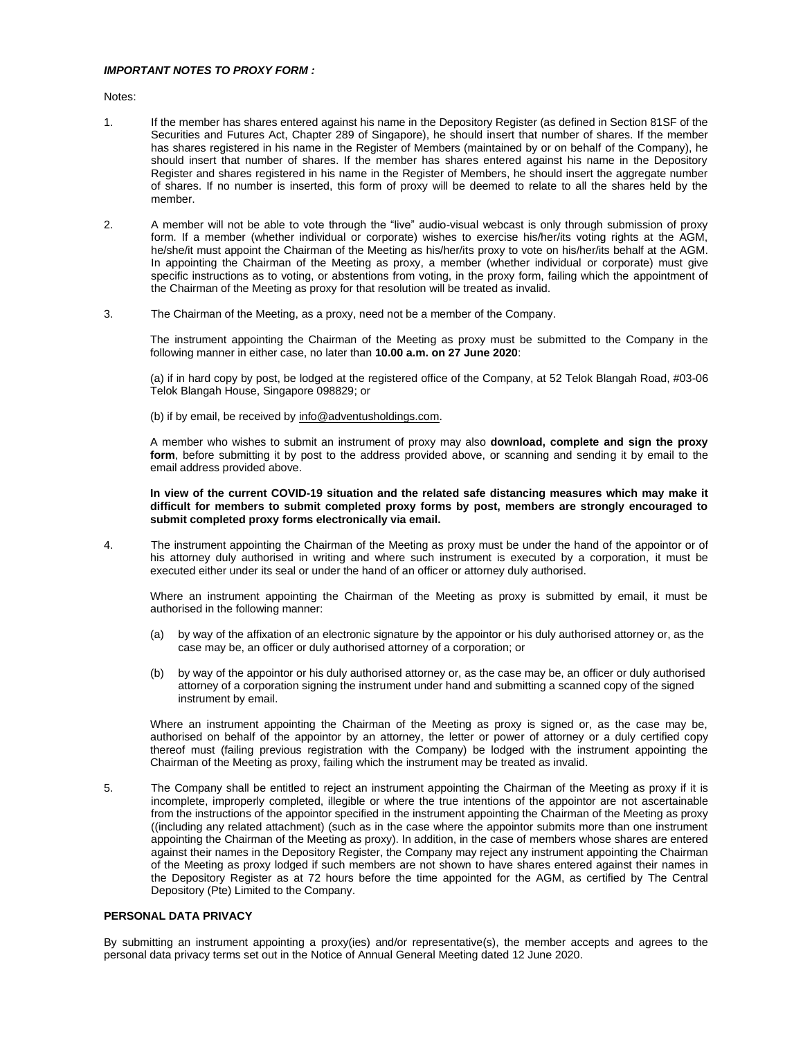#### *IMPORTANT NOTES TO PROXY FORM :*

Notes:

- 1. If the member has shares entered against his name in the Depository Register (as defined in Section 81SF of the Securities and Futures Act, Chapter 289 of Singapore), he should insert that number of shares. If the member has shares registered in his name in the Register of Members (maintained by or on behalf of the Company), he should insert that number of shares. If the member has shares entered against his name in the Depository Register and shares registered in his name in the Register of Members, he should insert the aggregate number of shares. If no number is inserted, this form of proxy will be deemed to relate to all the shares held by the member.
- 2. A member will not be able to vote through the "live" audio-visual webcast is only through submission of proxy form. If a member (whether individual or corporate) wishes to exercise his/her/its voting rights at the AGM, he/she/it must appoint the Chairman of the Meeting as his/her/its proxy to vote on his/her/its behalf at the AGM. In appointing the Chairman of the Meeting as proxy, a member (whether individual or corporate) must give specific instructions as to voting, or abstentions from voting, in the proxy form, failing which the appointment of the Chairman of the Meeting as proxy for that resolution will be treated as invalid.
- 3. The Chairman of the Meeting, as a proxy, need not be a member of the Company.

The instrument appointing the Chairman of the Meeting as proxy must be submitted to the Company in the following manner in either case, no later than **10.00 a.m. on 27 June 2020**:

(a) if in hard copy by post, be lodged at the registered office of the Company, at 52 Telok Blangah Road, #03-06 Telok Blangah House, Singapore 098829; or

(b) if by email, be received by info@adventusholdings.com.

A member who wishes to submit an instrument of proxy may also **download, complete and sign the proxy form**, before submitting it by post to the address provided above, or scanning and sending it by email to the email address provided above.

**In view of the current COVID-19 situation and the related safe distancing measures which may make it difficult for members to submit completed proxy forms by post, members are strongly encouraged to submit completed proxy forms electronically via email.**

4. The instrument appointing the Chairman of the Meeting as proxy must be under the hand of the appointor or of his attorney duly authorised in writing and where such instrument is executed by a corporation, it must be executed either under its seal or under the hand of an officer or attorney duly authorised.

Where an instrument appointing the Chairman of the Meeting as proxy is submitted by email, it must be authorised in the following manner:

- (a) by way of the affixation of an electronic signature by the appointor or his duly authorised attorney or, as the case may be, an officer or duly authorised attorney of a corporation; or
- (b) by way of the appointor or his duly authorised attorney or, as the case may be, an officer or duly authorised attorney of a corporation signing the instrument under hand and submitting a scanned copy of the signed instrument by email.

Where an instrument appointing the Chairman of the Meeting as proxy is signed or, as the case may be, authorised on behalf of the appointor by an attorney, the letter or power of attorney or a duly certified copy thereof must (failing previous registration with the Company) be lodged with the instrument appointing the Chairman of the Meeting as proxy, failing which the instrument may be treated as invalid.

5. The Company shall be entitled to reject an instrument appointing the Chairman of the Meeting as proxy if it is incomplete, improperly completed, illegible or where the true intentions of the appointor are not ascertainable from the instructions of the appointor specified in the instrument appointing the Chairman of the Meeting as proxy ((including any related attachment) (such as in the case where the appointor submits more than one instrument appointing the Chairman of the Meeting as proxy). In addition, in the case of members whose shares are entered against their names in the Depository Register, the Company may reject any instrument appointing the Chairman of the Meeting as proxy lodged if such members are not shown to have shares entered against their names in the Depository Register as at 72 hours before the time appointed for the AGM, as certified by The Central Depository (Pte) Limited to the Company.

#### **PERSONAL DATA PRIVACY**

By submitting an instrument appointing a proxy(ies) and/or representative(s), the member accepts and agrees to the personal data privacy terms set out in the Notice of Annual General Meeting dated 12 June 2020.